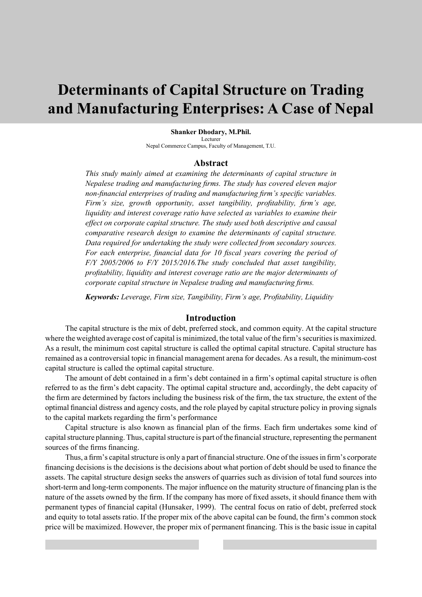# **Determinants of Capital Structure on Trading and Manufacturing Enterprises: A Case of Nepal**

#### **Shanker Dhodary, M.Phil.**

**Lecturer** Nepal Commerce Campus, Faculty of Management, T.U.

#### **Abstract**

*This study mainly aimed at examining the determinants of capital structure in Nepalese trading and manufacturing firms. The study has covered eleven major non-financial enterprises of trading and manufacturing firm's specific variables. Firm's size, growth opportunity, asset tangibility, profitability, firm's age, liquidity and interest coverage ratio have selected as variables to examine their effect on corporate capital structure. The study used both descriptive and causal comparative research design to examine the determinants of capital structure. Data required for undertaking the study were collected from secondary sources. For each enterprise, financial data for 10 fiscal years covering the period of F/Y 2005/2006 to F/Y 2015/2016.The study concluded that asset tangibility, profitability, liquidity and interest coverage ratio are the major determinants of corporate capital structure in Nepalese trading and manufacturing firms.* 

*Keywords: Leverage, Firm size, Tangibility, Firm's age, Profitability, Liquidity*

#### **Introduction**

The capital structure is the mix of debt, preferred stock, and common equity. At the capital structure where the weighted average cost of capital is minimized, the total value of the firm's securities is maximized. As a result, the minimum cost capital structure is called the optimal capital structure. Capital structure has remained as a controversial topic in financial management arena for decades. As a result, the minimum-cost capital structure is called the optimal capital structure.

The amount of debt contained in a firm's debt contained in a firm's optimal capital structure is often referred to as the firm's debt capacity. The optimal capital structure and, accordingly, the debt capacity of the firm are determined by factors including the business risk of the firm, the tax structure, the extent of the optimal financial distress and agency costs, and the role played by capital structure policy in proving signals to the capital markets regarding the firm's performance

Capital structure is also known as financial plan of the firms. Each firm undertakes some kind of capital structure planning. Thus, capital structure is part of the financial structure, representing the permanent sources of the firms financing.

Thus, a firm's capital structure is only a part of financial structure. One of the issues in firm's corporate financing decisions is the decisions is the decisions about what portion of debt should be used to finance the assets. The capital structure design seeks the answers of quarries such as division of total fund sources into short-term and long-term components. The major influence on the maturity structure of financing plan is the nature of the assets owned by the firm. If the company has more of fixed assets, it should finance them with permanent types of financial capital (Hunsaker, 1999). The central focus on ratio of debt, preferred stock and equity to total assets ratio. If the proper mix of the above capital can be found, the firm's common stock price will be maximized. However, the proper mix of permanent financing. This is the basic issue in capital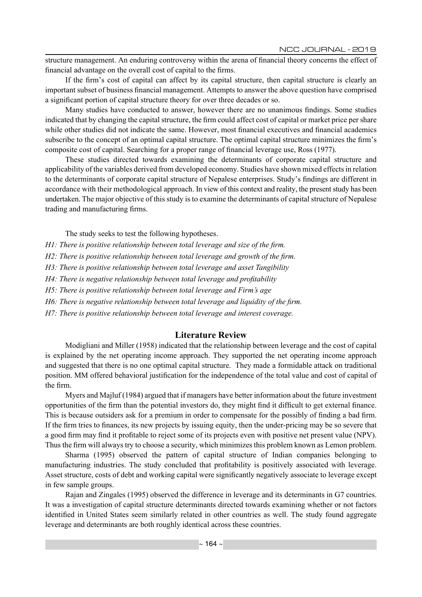NCC JOURNAL - 2019

structure management. An enduring controversy within the arena of financial theory concerns the effect of financial advantage on the overall cost of capital to the firms.

If the firm's cost of capital can affect by its capital structure, then capital structure is clearly an important subset of business financial management. Attempts to answer the above question have comprised a significant portion of capital structure theory for over three decades or so.

Many studies have conducted to answer, however there are no unanimous findings. Some studies indicated that by changing the capital structure, the firm could affect cost of capital or market price per share while other studies did not indicate the same. However, most financial executives and financial academics subscribe to the concept of an optimal capital structure. The optimal capital structure minimizes the firm's composite cost of capital. Searching for a proper range of financial leverage use, Ross (1977).

These studies directed towards examining the determinants of corporate capital structure and applicability of the variables derived from developed economy. Studies have shown mixed effects in relation to the determinants of corporate capital structure of Nepalese enterprises. Study's findings are different in accordance with their methodological approach. In view of this context and reality, the present study has been undertaken. The major objective of this study is to examine the determinants of capital structure of Nepalese trading and manufacturing firms.

The study seeks to test the following hypotheses.

*H1: There is positive relationship between total leverage and size of the firm.*

*H2: There is positive relationship between total leverage and growth of the firm.*

*H3: There is positive relationship between total leverage and asset Tangibility*

*H4: There is negative relationship between total leverage and profitability*

*H5: There is positive relationship between total leverage and Firm's age*

*H6: There is negative relationship between total leverage and liquidity of the firm.*

*H7: There is positive relationship between total leverage and interest coverage.*

## **Literature Review**

Modigliani and Miller (1958) indicated that the relationship between leverage and the cost of capital is explained by the net operating income approach. They supported the net operating income approach and suggested that there is no one optimal capital structure. They made a formidable attack on traditional position. MM offered behavioral justification for the independence of the total value and cost of capital of the firm.

Myers and Majluf (1984) argued that if managers have better information about the future investment opportunities of the firm than the potential investors do, they might find it difficult to get external finance. This is because outsiders ask for a premium in order to compensate for the possibly of finding a bad firm. If the firm tries to finances, its new projects by issuing equity, then the under-pricing may be so severe that a good firm may find it profitable to reject some of its projects even with positive net present value (NPV). Thus the firm will always try to choose a security, which minimizes this problem known as Lemon problem.

Sharma (1995) observed the pattern of capital structure of Indian companies belonging to manufacturing industries. The study concluded that profitability is positively associated with leverage. Asset structure, costs of debt and working capital were significantly negatively associate to leverage except in few sample groups.

Rajan and Zingales (1995) observed the difference in leverage and its determinants in G7 countries. It was a investigation of capital structure determinants directed towards examining whether or not factors identified in United States seem similarly related in other countries as well. The study found aggregate leverage and determinants are both roughly identical across these countries.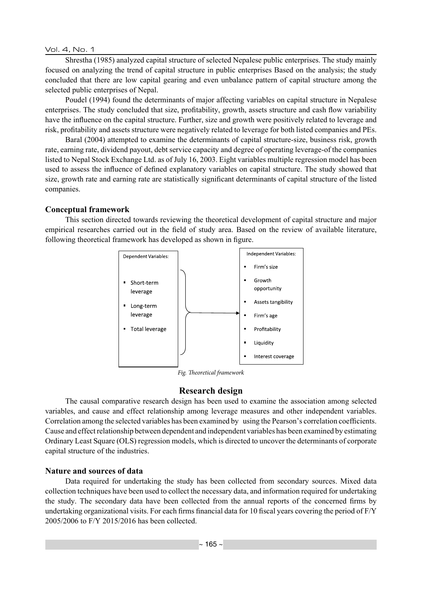Vol. 4, No. 1

Shrestha (1985) analyzed capital structure of selected Nepalese public enterprises. The study mainly focused on analyzing the trend of capital structure in public enterprises Based on the analysis; the study concluded that there are low capital gearing and even unbalance pattern of capital structure among the selected public enterprises of Nepal.

Poudel (1994) found the determinants of major affecting variables on capital structure in Nepalese enterprises. The study concluded that size, profitability, growth, assets structure and cash flow variability have the influence on the capital structure. Further, size and growth were positively related to leverage and risk, profitability and assets structure were negatively related to leverage for both listed companies and PEs.

Baral (2004) attempted to examine the determinants of capital structure-size, business risk, growth rate, earning rate, dividend payout, debt service capacity and degree of operating leverage-of the companies listed to Nepal Stock Exchange Ltd. as of July 16, 2003. Eight variables multiple regression model has been used to assess the influence of defined explanatory variables on capital structure. The study showed that size, growth rate and earning rate are statistically significant determinants of capital structure of the listed companies.

#### **Conceptual framework**

This section directed towards reviewing the theoretical development of capital structure and major empirical researches carried out in the field of study area. Based on the review of available literature, following theoretical framework has developed as shown in figure.



*Fig. Theoretical framework*

## **Research design**

The causal comparative research design has been used to examine the association among selected variables, and cause and effect relationship among leverage measures and other independent variables. Correlation among the selected variables has been examined by using the Pearson's correlation coefficients. Cause and effect relationship between dependent and independent variables has been examined by estimating Ordinary Least Square (OLS) regression models, which is directed to uncover the determinants of corporate capital structure of the industries.

## **Nature and sources of data**

Data required for undertaking the study has been collected from secondary sources. Mixed data collection techniques have been used to collect the necessary data, and information required for undertaking the study. The secondary data have been collected from the annual reports of the concerned firms by undertaking organizational visits. For each firms financial data for 10 fiscal years covering the period of F/Y 2005/2006 to F/Y 2015/2016 has been collected.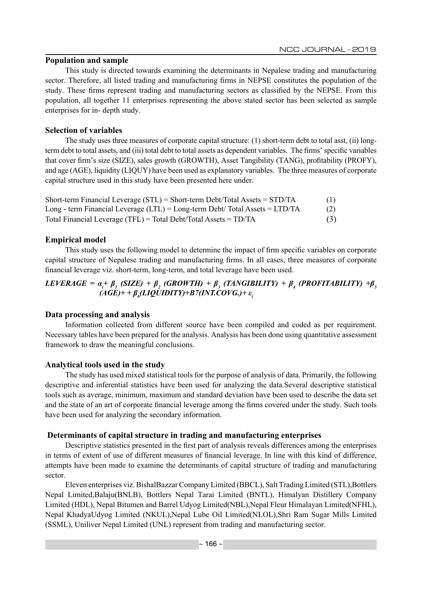## **Population and sample**

This study is directed towards examining the determinants in Nepalese trading and manufacturing sector. Therefore, all listed trading and manufacturing firms in NEPSE constitutes the population of the study. These firms represent trading and manufacturing sectors as classified by the NEPSE. From this population, all together 11 enterprises representing the above stated sector has been selected as sample enterprises for in- depth study.

# **Selection of variables**

The study uses three measures of corporate capital structure: (1) short-term debt to total asst, (ii) longterm debt to total assets, and (iii) total debt to total assets as dependent variables. The firms' specific variables that cover firm's size (SIZE), sales growth (GROWTH), Asset Tangibility (TANG), profitability (PROFY), and age (AGE), liquidity (LIQUY) have been used as explanatory variables. The three measures of corporate capital structure used in this study have been presented here under.

| Short-term Financial Leverage $(STL)$ = Short-term Debt/Total Assets = $STD/TA$ | (1) |
|---------------------------------------------------------------------------------|-----|
| Long - term Financial Leverage (LTL) = Long-term Debt/ Total Assets = LTD/TA    | (2) |
| Total Financial Leverage (TFL) = Total Debt/Total Assets = $TD/TA$              | (3) |

# **Empirical model**

This study uses the following model to determine the impact of firm specific variables on corporate capital structure of Nepalese trading and manufacturing firms. In all cases, three measures of corporate financial leverage viz. short-term, long-term, and total leverage have been used.

# *LEVERAGE = α<sup>i</sup> + β<sup>1</sup> (SIZE) + β<sup>2</sup> (GROWTH) + β<sup>3</sup> (TANGIBILITY) + β<sup>4</sup> (PROFITABILITY) +β<sup>5</sup> (AGE)+ + β<sup>6</sup> (LIQUIDITY)+B7(INT.COVG.)+ ε<sup>i</sup>*

## **Data processing and analysis**

Information collected from different source have been compiled and coded as per requirement. Necessary tables have been prepared for the analysis. Analysis has been done using quantitative assessment framework to draw the meaningful conclusions.

## **Analytical tools used in the study**

The study has used mixed statistical tools for the purpose of analysis of data. Primarily, the following descriptive and inferential statistics have been used for analyzing the data.Several descriptive statistical tools such as average, minimum, maximum and standard deviation have been used to describe the data set and the state of an art of corporate financial leverage among the firms covered under the study. Such tools have been used for analyzing the secondary information.

## **Determinants of capital structure in trading and manufacturing enterprises**

Descriptive statistics presented in the first part of analysis reveals differences among the enterprises in terms of extent of use of different measures of financial leverage. In line with this kind of difference, attempts have been made to examine the determinants of capital structure of trading and manufacturing sector.

Eleven enterprises viz. BishalBazzar Company Limited (BBCL), Salt Trading Limited (STL),Bottlers Nepal Limited,Balaju(BNLB), Bottlers Nepal Tarai Limited (BNTL), Himalyan Distillery Company Limited (HDL), Nepal Bitumen and Barrel Udyog Limited(NBL),Nepal Fleur Himalayan Limited(NFHL), Nepal KhadyaUdyog Limited (NKUL),Nepal Lube Oil Limited(NLOL),Shri Ram Sugar Mills Limited (SSML), Uniliver Nepal Limited (UNL) represent from trading and manufacturing sector.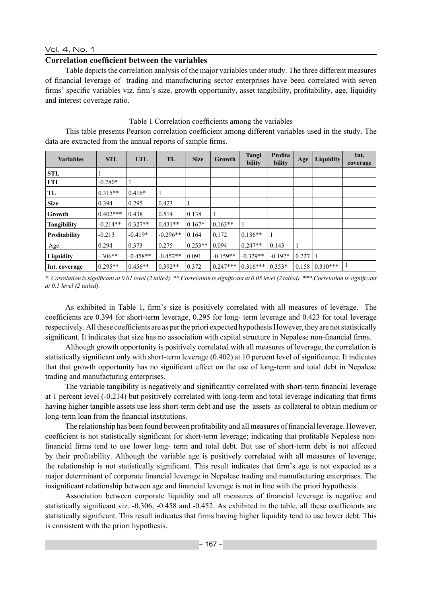#### Vol. 4, No. 1

#### **Correlation coefficient between the variables**

Table depicts the correlation analysis of the major variables under study. The three different measures of financial leverage of trading and manufacturing sector enterprises have been correlated with seven firms' specific variables viz. firm's size, growth opportunity, asset tangibility, profitability, age, liquidity and interest coverage ratio.

#### Table 1 Correlation coefficients among the variables

This table presents Pearson correlation coefficient among different variables used in the study. The data are extracted from the annual reports of sample firms.

| <b>Variables</b>     | <b>STL</b> | <b>LTL</b> | TL         | <b>Size</b> | Growth     | Tangi<br>bility | Profita<br>bility | Age   | <b>Liquidity</b>     | Int.<br>coverage |
|----------------------|------------|------------|------------|-------------|------------|-----------------|-------------------|-------|----------------------|------------------|
| <b>STL</b>           |            |            |            |             |            |                 |                   |       |                      |                  |
| <b>LTL</b>           | $-0.280*$  |            |            |             |            |                 |                   |       |                      |                  |
| TL                   | $0.315**$  | $0.416*$   |            |             |            |                 |                   |       |                      |                  |
| <b>Size</b>          | 0.394      | 0.295      | 0.423      |             |            |                 |                   |       |                      |                  |
| Growth               | $0.402***$ | 0.438      | 0.514      | 0.138       |            |                 |                   |       |                      |                  |
| <b>Tangibility</b>   | $-0.214**$ | $0.327**$  | $0.431**$  | $0.167*$    | $0.163**$  |                 |                   |       |                      |                  |
| <b>Profitability</b> | $-0.213$   | $-0.419*$  | $-0.296**$ | 0.164       | 0.172      | $0.186**$       |                   |       |                      |                  |
| Age                  | 0.294      | 0.373      | 0.275      | $0.253**$   | 0.094      | $0.247**$       | 0.143             |       |                      |                  |
| Liquidity            | $-.306**$  | $-0.458**$ | $-0.452**$ | 0.091       | $-0.159**$ | $-0.329**$      | $-0.192*$         | 0.227 |                      |                  |
| Int. coverage        | $0.295**$  | $0.456**$  | $0.392**$  | 0.372       | $0.247***$ | $0.316***$      | $0.353*$          |       | $0.158$   $0.310***$ |                  |

*\*. Correlation is significant at 0.01 level (2 tailed). \*\*.Correlation is significant at 0.05 level (2 tailed). \*\*\*.Correlation is significant at 0.1 level (2 tailed).*

As exhibited in Table 1, firm's size is positively correlated with all measures of leverage. The coefficients are 0.394 for short-term leverage, 0.295 for long- term leverage and 0.423 for total leverage respectively. All these coefficients are as per the priori expected hypothesis However, they are not statistically significant. It indicates that size has no association with capital structure in Nepalese non-financial firms.

Although growth opportunity is positively correlated with all measures of leverage, the correlation is statistically significant only with short-term leverage (0.402) at 10 percent level of significance. It indicates that that growth opportunity has no significant effect on the use of long-term and total debt in Nepalese trading and manufacturing enterprises.

The variable tangibility is negatively and significantly correlated with short-term financial leverage at 1 percent level (-0.214) but positively correlated with long-term and total leverage indicating that firms having higher tangible assets use less short-term debt and use the assets as collateral to obtain medium or long-term loan from the financial institutions.

The relationship has been found between profitability and all measures of financial leverage. However, coefficient is not statistically significant for short-term leverage; indicating that profitable Nepalese nonfinancial firms tend to use lower long- term and total debt. But use of short-term debt is not affected by their profitability. Although the variable age is positively correlated with all measures of leverage, the relationship is not statistically significant. This result indicates that firm's age is not expected as a major determinant of corporate financial leverage in Nepalese trading and manufacturing enterprises. The insignificant relationship between age and financial leverage is not in line with the priori hypothesis.

Association between corporate liquidity and all measures of financial leverage is negative and statistically significant viz. -0.306, -0.458 and -0.452. As exhibited in the table, all these coefficients are statistically significant. This result indicates that firms having higher liquidity tend to use lower debt. This is consistent with the priori hypothesis.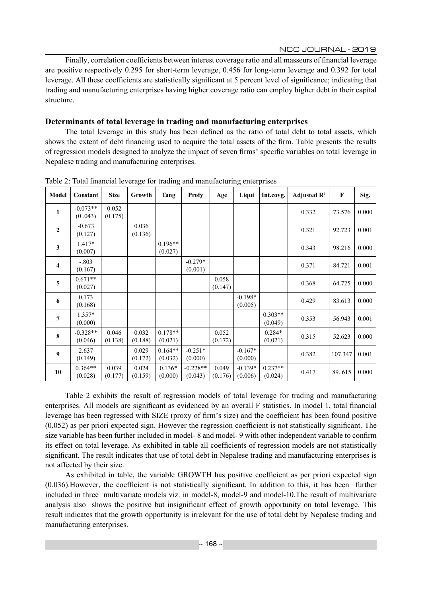NCC JOURNAL - 2019

Finally, correlation coefficients between interest coverage ratio and all masseurs of financial leverage are positive respectively 0.295 for short-term leverage, 0.456 for long-term leverage and 0.392 for total leverage. All these coefficients are statistically significant at 5 percent level of significance; indicating that trading and manufacturing enterprises having higher coverage ratio can employ higher debt in their capital structure.

# **Determinants of total leverage in trading and manufacturing enterprises**

The total leverage in this study has been defined as the ratio of total debt to total assets, which shows the extent of debt financing used to acquire the total assets of the firm. Table presents the results of regression models designed to analyze the impact of seven firms' specific variables on total leverage in Nepalese trading and manufacturing enterprises.

| Model                   | Constant              | <b>Size</b>      | Growth           | Tang                 | <b>Profy</b>          | Age              | Liqui                | Int.covg.            | Adjusted $\mathbb{R}^2$ | $\mathbf F$ | Sig.  |
|-------------------------|-----------------------|------------------|------------------|----------------------|-----------------------|------------------|----------------------|----------------------|-------------------------|-------------|-------|
| 1                       | $-0.073**$<br>(0.043) | 0.052<br>(0.175) |                  |                      |                       |                  |                      |                      | 0.332                   | 73.576      | 0.000 |
| $\overline{2}$          | $-0.673$<br>(0.127)   |                  | 0.036<br>(0.136) |                      |                       |                  |                      |                      | 0.321                   | 92.723      | 0.001 |
| 3                       | 1.417*<br>(0.007)     |                  |                  | $0.196**$<br>(0.027) |                       |                  |                      |                      | 0.343                   | 98.216      | 0.000 |
| $\overline{\mathbf{4}}$ | $-.803$<br>(0.167)    |                  |                  |                      | $-0.279*$<br>(0.001)  |                  |                      |                      | 0.371                   | 84.721      | 0.001 |
| 5                       | $0.671**$<br>(0.027)  |                  |                  |                      |                       | 0.058<br>(0.147) |                      |                      | 0.368                   | 64.725      | 0.000 |
| 6                       | 0.173<br>(0.168)      |                  |                  |                      |                       |                  | $-0.198*$<br>(0.005) |                      | 0.429                   | 83.613      | 0.000 |
| $\overline{7}$          | 1.357*<br>(0.000)     |                  |                  |                      |                       |                  |                      | $0.303**$<br>(0.049) | 0.353                   | 56.943      | 0.001 |
| 8                       | $-0.328**$<br>(0.046) | 0.046<br>(0.138) | 0.032<br>(0.188) | $0.178**$<br>(0.021) |                       | 0.052<br>(0.172) |                      | $0.284*$<br>(0.021)  | 0.315                   | 52.623      | 0.000 |
| $\boldsymbol{9}$        | 2.637<br>(0.149)      |                  | 0.029<br>(0.172) | $0.164**$<br>(0.032) | $-0.251*$<br>(0.000)  |                  | $-0.167*$<br>(0.000) |                      | 0.382                   | 107.347     | 0.001 |
| 10                      | $0.364**$<br>(0.028)  | 0.039<br>(0.177) | 0.024<br>(0.159) | $0.136*$<br>(0.000)  | $-0.228**$<br>(0.043) | 0.049<br>(0.176) | $-0.139*$<br>(0.006) | $0.237**$<br>(0.024) | 0.417                   | 89.615      | 0.000 |

Table 2: Total financial leverage for trading and manufacturing enterprises

Table 2 exhibits the result of regression models of total leverage for trading and manufacturing enterprises. All models are significant as evidenced by an overall F statistics. In model 1, total financial leverage has been regressed with SIZE (proxy of firm's size) and the coefficient has been found positive (0.052) as per priori expected sign. However the regression coefficient is not statistically significant. The size variable has been further included in model- 8 and model- 9 with other independent variable to confirm its effect on total leverage. As exhibited in table all coefficients of regression models are not statistically significant. The result indicates that use of total debt in Nepalese trading and manufacturing enterprises is not affected by their size.

As exhibited in table, the variable GROWTH has positive coefficient as per priori expected sign (0.036).However, the coefficient is not statistically significant. In addition to this, it has been further included in three multivariate models viz. in model-8, model-9 and model-10.The result of multivariate analysis also shows the positive but insignificant effect of growth opportunity on total leverage. This result indicates that the growth opportunity is irrelevant for the use of total debt by Nepalese trading and manufacturing enterprises.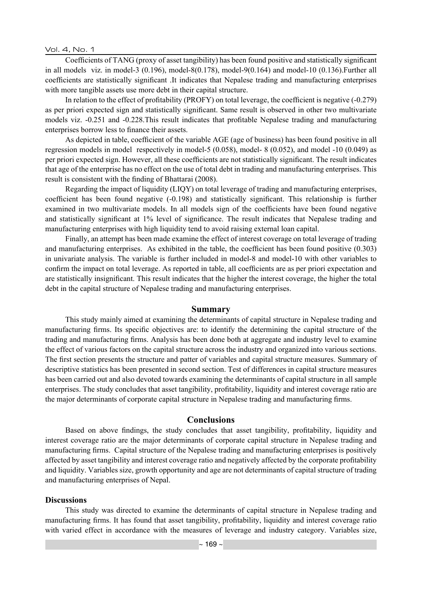Vol. 4, No. 1

Coefficients of TANG (proxy of asset tangibility) has been found positive and statistically significant in all models viz. in model-3 (0.196), model-8(0.178), model-9(0.164) and model-10 (0.136).Further all coefficients are statistically significant .It indicates that Nepalese trading and manufacturing enterprises with more tangible assets use more debt in their capital structure.

In relation to the effect of profitability (PROFY) on total leverage, the coefficient is negative (-0.279) as per priori expected sign and statistically significant. Same result is observed in other two multivariate models viz. -0.251 and -0.228.This result indicates that profitable Nepalese trading and manufacturing enterprises borrow less to finance their assets.

As depicted in table, coefficient of the variable AGE (age of business) has been found positive in all regression models in model respectively in model-5 (0.058), model- 8 (0.052), and model -10 (0.049) as per priori expected sign. However, all these coefficients are not statistically significant. The result indicates that age of the enterprise has no effect on the use of total debt in trading and manufacturing enterprises. This result is consistent with the finding of Bhattarai (2008).

Regarding the impact of liquidity (LIQY) on total leverage of trading and manufacturing enterprises, coefficient has been found negative (-0.198) and statistically significant. This relationship is further examined in two multivariate models. In all models sign of the coefficients have been found negative and statistically significant at 1% level of significance. The result indicates that Nepalese trading and manufacturing enterprises with high liquidity tend to avoid raising external loan capital.

Finally, an attempt has been made examine the effect of interest coverage on total leverage of trading and manufacturing enterprises. As exhibited in the table, the coefficient has been found positive (0.303) in univariate analysis. The variable is further included in model-8 and model-10 with other variables to confirm the impact on total leverage. As reported in table, all coefficients are as per priori expectation and are statistically insignificant. This result indicates that the higher the interest coverage, the higher the total debt in the capital structure of Nepalese trading and manufacturing enterprises.

#### **Summary**

This study mainly aimed at examining the determinants of capital structure in Nepalese trading and manufacturing firms. Its specific objectives are: to identify the determining the capital structure of the trading and manufacturing firms. Analysis has been done both at aggregate and industry level to examine the effect of various factors on the capital structure across the industry and organized into various sections. The first section presents the structure and patter of variables and capital structure measures. Summary of descriptive statistics has been presented in second section. Test of differences in capital structure measures has been carried out and also devoted towards examining the determinants of capital structure in all sample enterprises. The study concludes that asset tangibility, profitability, liquidity and interest coverage ratio are the major determinants of corporate capital structure in Nepalese trading and manufacturing firms.

#### **Conclusions**

Based on above findings, the study concludes that asset tangibility, profitability, liquidity and interest coverage ratio are the major determinants of corporate capital structure in Nepalese trading and manufacturing firms. Capital structure of the Nepalese trading and manufacturing enterprises is positively affected by asset tangibility and interest coverage ratio and negatively affected by the corporate profitability and liquidity. Variables size, growth opportunity and age are not determinants of capital structure of trading and manufacturing enterprises of Nepal.

#### **Discussions**

This study was directed to examine the determinants of capital structure in Nepalese trading and manufacturing firms. It has found that asset tangibility, profitability, liquidity and interest coverage ratio with varied effect in accordance with the measures of leverage and industry category. Variables size,